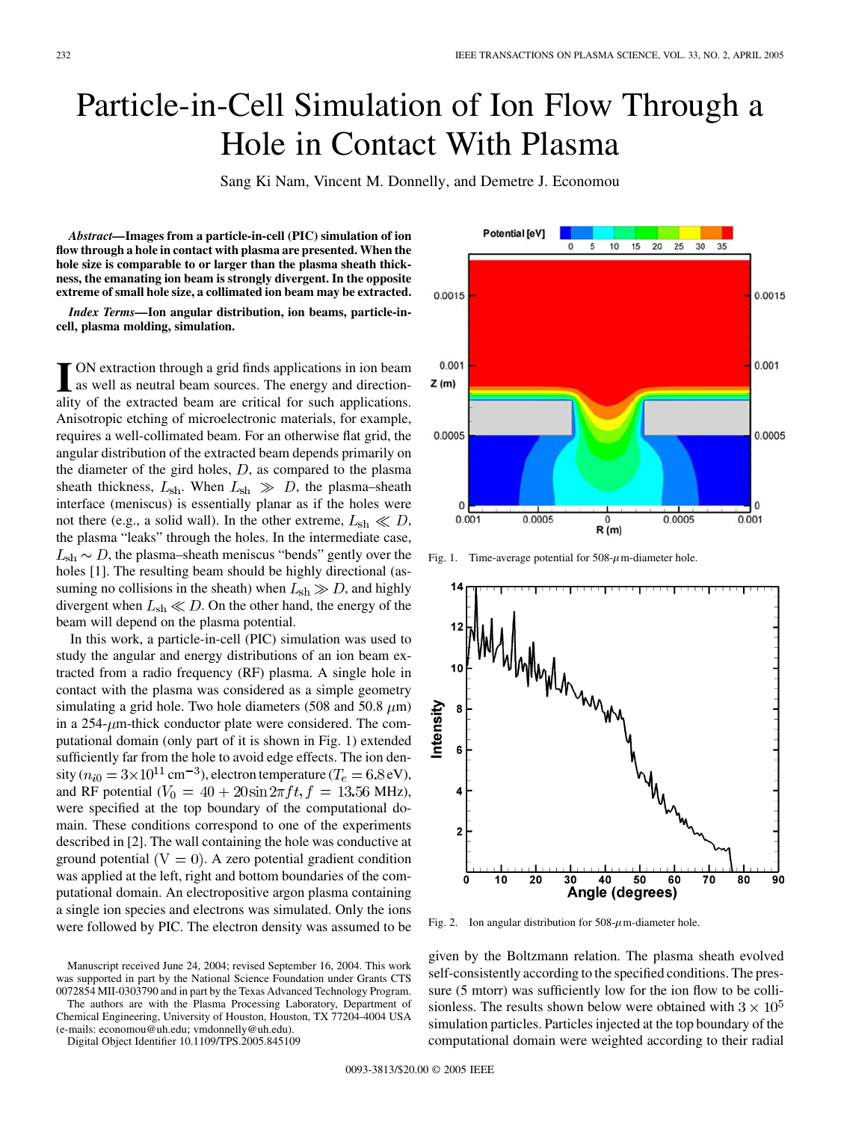## Particle-in-Cell Simulation of Ion Flow Through a Hole in Contact With Plasma

Sang Ki Nam, Vincent M. Donnelly, and Demetre J. Economou

*Abstract—***Images from a particle-in-cell (PIC) simulation of ion flow through a hole in contact with plasma are presented. When the hole size is comparable to or larger than the plasma sheath thickness, the emanating ion beam is strongly divergent. In the opposite extreme of small hole size, a collimated ion beam may be extracted.**

*Index Terms—***Ion angular distribution, ion beams, particle-incell, plasma molding, simulation.**

**I** ON extraction through a grid finds applications in ion beam<br>as well as neutral beam sources. The energy and direction-<br>ality of the outpated beam are exitial for such emplications ality of the extracted beam are critical for such applications. Anisotropic etching of microelectronic materials, for example, requires a well-collimated beam. For an otherwise flat grid, the angular distribution of the extracted beam depends primarily on the diameter of the gird holes,  $D$ , as compared to the plasma sheath thickness,  $L_{\rm sh}$ . When  $L_{\rm sh} \gg D$ , the plasma–sheath interface (meniscus) is essentially planar as if the holes were not there (e.g., a solid wall). In the other extreme,  $L_{\rm sh} \ll D$ , the plasma "leaks" through the holes. In the intermediate case,  $L_{sh} \sim D$ , the plasma–sheath meniscus "bends" gently over the holes [[1\]](#page-1-0). The resulting beam should be highly directional (assuming no collisions in the sheath) when  $L_{\rm sh} \gg D$ , and highly divergent when  $L_{sh} \ll D$ . On the other hand, the energy of the beam will depend on the plasma potential.

In this work, a particle-in-cell (PIC) simulation was used to study the angular and energy distributions of an ion beam extracted from a radio frequency (RF) plasma. A single hole in contact with the plasma was considered as a simple geometry simulating a grid hole. Two hole diameters (508 and 50.8  $\mu$ m) in a  $254$ - $\mu$ m-thick conductor plate were considered. The computational domain (only part of it is shown in Fig. 1) extended sufficiently far from the hole to avoid edge effects. The ion density ( $n_{i0} = 3 \times 10^{11}$  cm<sup>-3</sup>), electron temperature ( $T_e = 6.8$  eV), and RF potential  $(V_0 = 40 + 20 \sin 2\pi ft, f = 13.56 \text{ MHz}),$ were specified at the top boundary of the computational domain. These conditions correspond to one of the experiments described in [\[2](#page-1-0)]. The wall containing the hole was conductive at ground potential  $(V = 0)$ . A zero potential gradient condition was applied at the left, right and bottom boundaries of the computational domain. An electropositive argon plasma containing a single ion species and electrons was simulated. Only the ions were followed by PIC. The electron density was assumed to be

Manuscript received June 24, 2004; revised September 16, 2004. This work was supported in part by the National Science Foundation under Grants CTS 0072854 MII-0303790 and in part by the Texas Advanced Technology Program.

The authors are with the Plasma Processing Laboratory, Department of Chemical Engineering, University of Houston, Houston, TX 77204-4004 USA (e-mails: economou@uh.edu; vmdonnelly@uh.edu).

Digital Object Identifier 10.1109/TPS.2005.845109



Fig. 1. Time-average potential for  $508-\mu$ m-diameter hole.



Fig. 2. Ion angular distribution for  $508-\mu$  m-diameter hole.

given by the Boltzmann relation. The plasma sheath evolved self-consistently according to the specified conditions. The pressure (5 mtorr) was sufficiently low for the ion flow to be collisionless. The results shown below were obtained with  $3 \times 10^5$ simulation particles. Particles injected at the top boundary of the computational domain were weighted according to their radial